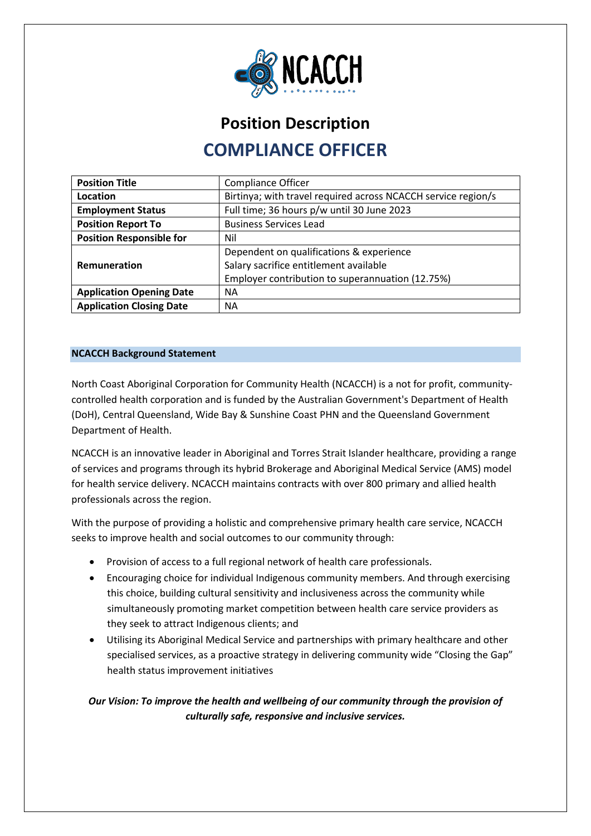

# **Position Description COMPLIANCE OFFICER**

| <b>Position Title</b>           | <b>Compliance Officer</b>                                     |
|---------------------------------|---------------------------------------------------------------|
| Location                        | Birtinya; with travel required across NCACCH service region/s |
| <b>Employment Status</b>        | Full time; 36 hours p/w until 30 June 2023                    |
| <b>Position Report To</b>       | <b>Business Services Lead</b>                                 |
| <b>Position Responsible for</b> | Nil                                                           |
|                                 | Dependent on qualifications & experience                      |
| Remuneration                    | Salary sacrifice entitlement available                        |
|                                 | Employer contribution to superannuation (12.75%)              |
| <b>Application Opening Date</b> | <b>NA</b>                                                     |
| <b>Application Closing Date</b> | <b>NA</b>                                                     |

## **NCACCH Background Statement**

North Coast Aboriginal Corporation for Community Health (NCACCH) is a not for profit, communitycontrolled health corporation and is funded by the Australian Government's Department of Health (DoH), Central Queensland, Wide Bay & Sunshine Coast PHN and the Queensland Government Department of Health.

NCACCH is an innovative leader in Aboriginal and Torres Strait Islander healthcare, providing a range of services and programs through its hybrid Brokerage and Aboriginal Medical Service (AMS) model for health service delivery. NCACCH maintains contracts with over 800 primary and allied health professionals across the region.

With the purpose of providing a holistic and comprehensive primary health care service, NCACCH seeks to improve health and social outcomes to our community through:

- Provision of access to a full regional network of health care professionals.
- Encouraging choice for individual Indigenous community members. And through exercising this choice, building cultural sensitivity and inclusiveness across the community while simultaneously promoting market competition between health care service providers as they seek to attract Indigenous clients; and
- Utilising its Aboriginal Medical Service and partnerships with primary healthcare and other specialised services, as a proactive strategy in delivering community wide "Closing the Gap" health status improvement initiatives

## *Our Vision: To improve the health and wellbeing of our community through the provision of culturally safe, responsive and inclusive services.*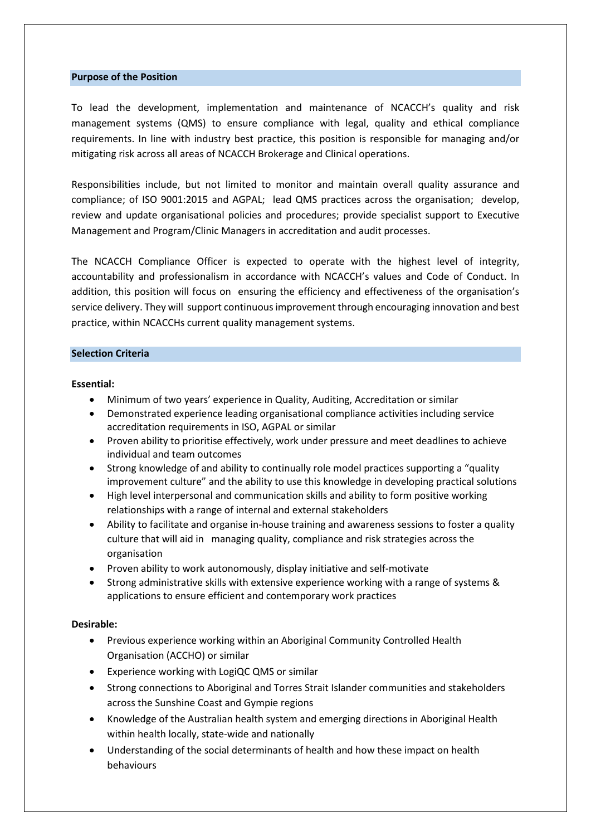#### **Purpose of the Position**

To lead the development, implementation and maintenance of NCACCH's quality and risk management systems (QMS) to ensure compliance with legal, quality and ethical compliance requirements. In line with industry best practice, this position is responsible for managing and/or mitigating risk across all areas of NCACCH Brokerage and Clinical operations.

Responsibilities include, but not limited to monitor and maintain overall quality assurance and compliance; of ISO 9001:2015 and AGPAL; lead QMS practices across the organisation; develop, review and update organisational policies and procedures; provide specialist support to Executive Management and Program/Clinic Managers in accreditation and audit processes.

The NCACCH Compliance Officer is expected to operate with the highest level of integrity, accountability and professionalism in accordance with NCACCH's values and Code of Conduct. In addition, this position will focus on ensuring the efficiency and effectiveness of the organisation's service delivery. They will support continuous improvement through encouraging innovation and best practice, within NCACCHs current quality management systems.

#### **Selection Criteria**

#### **Essential:**

- Minimum of two years' experience in Quality, Auditing, Accreditation or similar
- Demonstrated experience leading organisational compliance activities including service accreditation requirements in ISO, AGPAL or similar
- Proven ability to prioritise effectively, work under pressure and meet deadlines to achieve individual and team outcomes
- Strong knowledge of and ability to continually role model practices supporting a "quality improvement culture" and the ability to use this knowledge in developing practical solutions
- High level interpersonal and communication skills and ability to form positive working relationships with a range of internal and external stakeholders
- Ability to facilitate and organise in-house training and awareness sessions to foster a quality culture that will aid in managing quality, compliance and risk strategies across the organisation
- Proven ability to work autonomously, display initiative and self-motivate
- Strong administrative skills with extensive experience working with a range of systems & applications to ensure efficient and contemporary work practices

#### **Desirable:**

- Previous experience working within an Aboriginal Community Controlled Health Organisation (ACCHO) or similar
- Experience working with LogiQC QMS or similar
- Strong connections to Aboriginal and Torres Strait Islander communities and stakeholders across the Sunshine Coast and Gympie regions
- Knowledge of the Australian health system and emerging directions in Aboriginal Health within health locally, state-wide and nationally
- Understanding of the social determinants of health and how these impact on health behaviours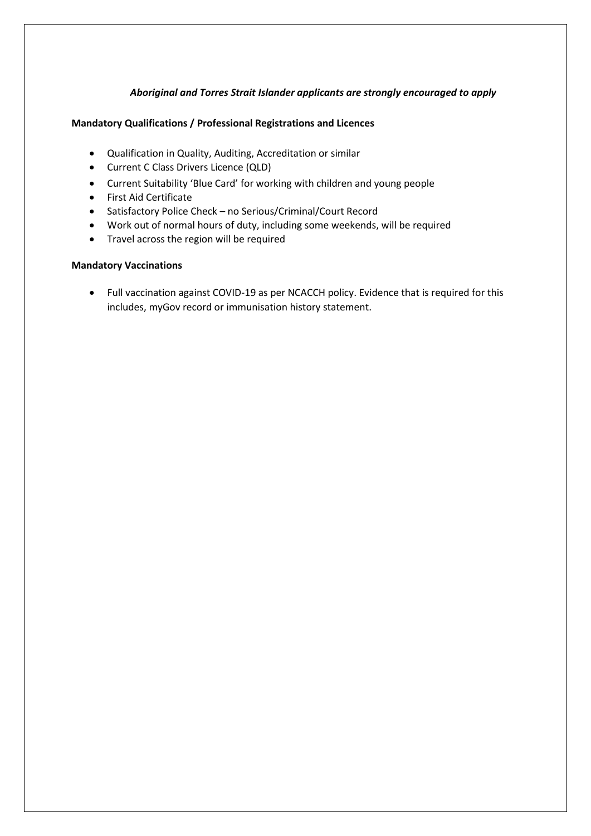## *Aboriginal and Torres Strait Islander applicants are strongly encouraged to apply*

#### **Mandatory Qualifications / Professional Registrations and Licences**

- Qualification in Quality, Auditing, Accreditation or similar
- Current C Class Drivers Licence (QLD)
- Current Suitability 'Blue Card' for working with children and young people
- First Aid Certificate
- Satisfactory Police Check no Serious/Criminal/Court Record
- Work out of normal hours of duty, including some weekends, will be required
- Travel across the region will be required

## **Mandatory Vaccinations**

• Full vaccination against COVID-19 as per NCACCH policy. Evidence that is required for this includes, myGov record or immunisation history statement.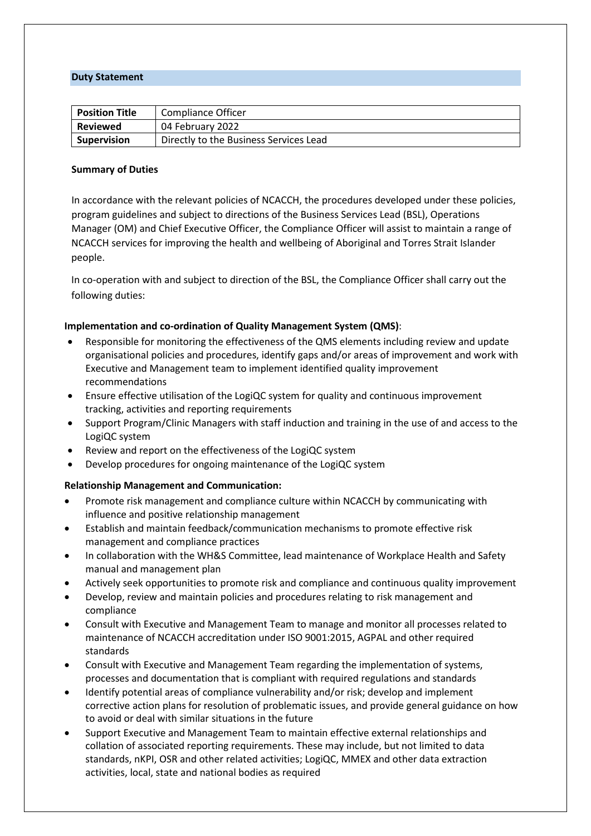#### **Duty Statement**

| <b>Position Title</b> | Compliance Officer                     |
|-----------------------|----------------------------------------|
| <b>Reviewed</b>       | 04 February 2022                       |
| <b>Supervision</b>    | Directly to the Business Services Lead |

#### **Summary of Duties**

In accordance with the relevant policies of NCACCH, the procedures developed under these policies, program guidelines and subject to directions of the Business Services Lead (BSL), Operations Manager (OM) and Chief Executive Officer, the Compliance Officer will assist to maintain a range of NCACCH services for improving the health and wellbeing of Aboriginal and Torres Strait Islander people.

In co-operation with and subject to direction of the BSL, the Compliance Officer shall carry out the following duties:

#### **Implementation and co-ordination of Quality Management System (QMS)**:

- Responsible for monitoring the effectiveness of the QMS elements including review and update organisational policies and procedures, identify gaps and/or areas of improvement and work with Executive and Management team to implement identified quality improvement recommendations
- Ensure effective utilisation of the LogiQC system for quality and continuous improvement tracking, activities and reporting requirements
- Support Program/Clinic Managers with staff induction and training in the use of and access to the LogiQC system
- Review and report on the effectiveness of the LogiQC system
- Develop procedures for ongoing maintenance of the LogiQC system

#### **Relationship Management and Communication:**

- Promote risk management and compliance culture within NCACCH by communicating with influence and positive relationship management
- Establish and maintain feedback/communication mechanisms to promote effective risk management and compliance practices
- In collaboration with the WH&S Committee, lead maintenance of Workplace Health and Safety manual and management plan
- Actively seek opportunities to promote risk and compliance and continuous quality improvement
- Develop, review and maintain policies and procedures relating to risk management and compliance
- Consult with Executive and Management Team to manage and monitor all processes related to maintenance of NCACCH accreditation under ISO 9001:2015, AGPAL and other required standards
- Consult with Executive and Management Team regarding the implementation of systems, processes and documentation that is compliant with required regulations and standards
- Identify potential areas of compliance vulnerability and/or risk; develop and implement corrective action plans for resolution of problematic issues, and provide general guidance on how to avoid or deal with similar situations in the future
- Support Executive and Management Team to maintain effective external relationships and collation of associated reporting requirements. These may include, but not limited to data standards, nKPI, OSR and other related activities; LogiQC, MMEX and other data extraction activities, local, state and national bodies as required